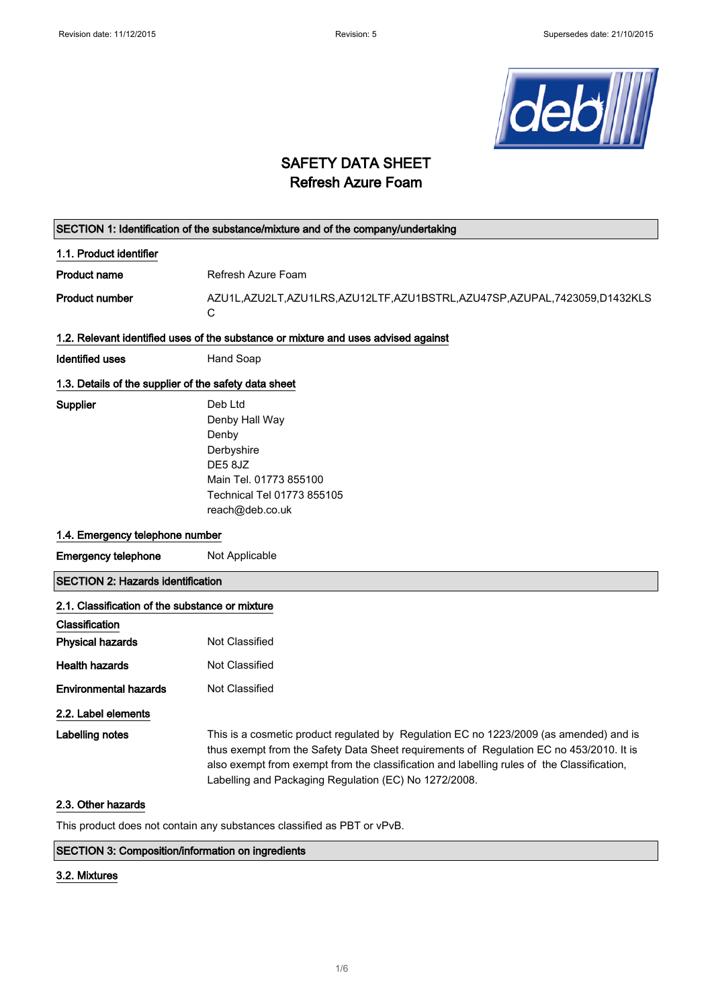

# SAFETY DATA SHEET Refresh Azure Foam

|                                                       | SECTION 1: Identification of the substance/mixture and of the company/undertaking                                                                                                                                                                                                                                                        |  |
|-------------------------------------------------------|------------------------------------------------------------------------------------------------------------------------------------------------------------------------------------------------------------------------------------------------------------------------------------------------------------------------------------------|--|
| 1.1. Product identifier                               |                                                                                                                                                                                                                                                                                                                                          |  |
| <b>Product name</b>                                   | Refresh Azure Foam                                                                                                                                                                                                                                                                                                                       |  |
| <b>Product number</b>                                 | AZU1L,AZU2LT,AZU1LRS,AZU12LTF,AZU1BSTRL,AZU47SP,AZUPAL,7423059,D1432KLS<br>C                                                                                                                                                                                                                                                             |  |
|                                                       | 1.2. Relevant identified uses of the substance or mixture and uses advised against                                                                                                                                                                                                                                                       |  |
| <b>Identified uses</b>                                | Hand Soap                                                                                                                                                                                                                                                                                                                                |  |
| 1.3. Details of the supplier of the safety data sheet |                                                                                                                                                                                                                                                                                                                                          |  |
| Supplier                                              | Deb Ltd<br>Denby Hall Way<br>Denby<br>Derbyshire<br>DE58JZ<br>Main Tel. 01773 855100<br>Technical Tel 01773 855105<br>reach@deb.co.uk                                                                                                                                                                                                    |  |
| 1.4. Emergency telephone number                       |                                                                                                                                                                                                                                                                                                                                          |  |
| <b>Emergency telephone</b>                            | Not Applicable                                                                                                                                                                                                                                                                                                                           |  |
| <b>SECTION 2: Hazards identification</b>              |                                                                                                                                                                                                                                                                                                                                          |  |
| 2.1. Classification of the substance or mixture       |                                                                                                                                                                                                                                                                                                                                          |  |
| Classification                                        |                                                                                                                                                                                                                                                                                                                                          |  |
| <b>Physical hazards</b>                               | Not Classified                                                                                                                                                                                                                                                                                                                           |  |
| <b>Health hazards</b>                                 | Not Classified                                                                                                                                                                                                                                                                                                                           |  |
| <b>Environmental hazards</b>                          | Not Classified                                                                                                                                                                                                                                                                                                                           |  |
| 2.2. Label elements                                   |                                                                                                                                                                                                                                                                                                                                          |  |
| Labelling notes                                       | This is a cosmetic product regulated by Regulation EC no 1223/2009 (as amended) and is<br>thus exempt from the Safety Data Sheet requirements of Regulation EC no 453/2010. It is<br>also exempt from exempt from the classification and labelling rules of the Classification,<br>Labelling and Packaging Regulation (EC) No 1272/2008. |  |
| 2.3. Other hazards                                    |                                                                                                                                                                                                                                                                                                                                          |  |
|                                                       | This product does not contain any substances classified as PBT or vPvB.                                                                                                                                                                                                                                                                  |  |

# SECTION 3: Composition/information on ingredients

## 3.2. Mixtures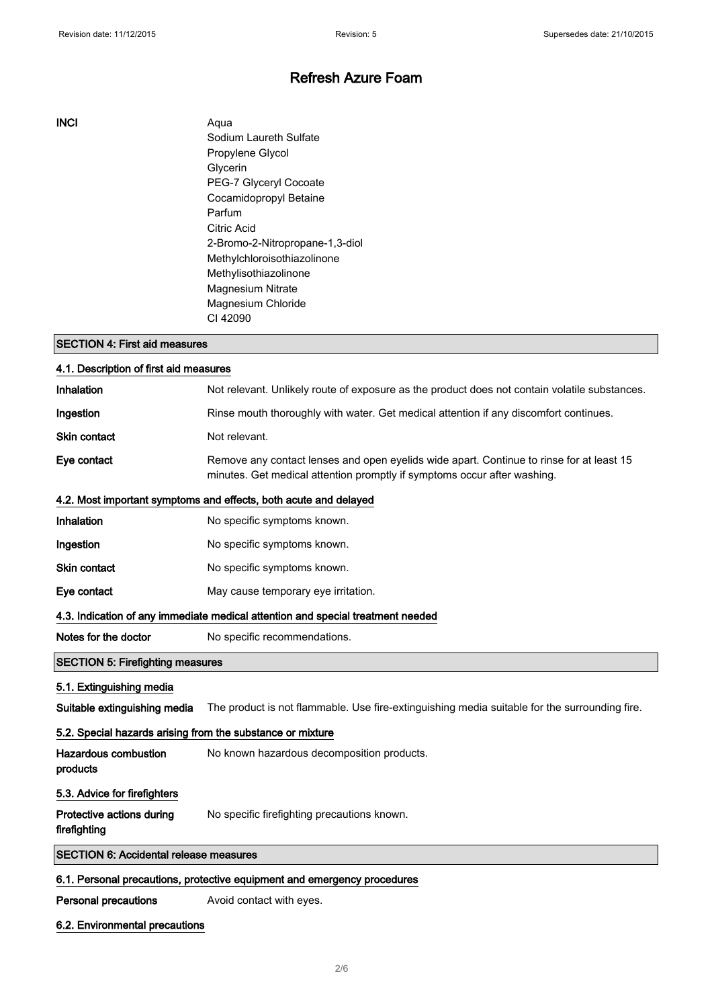## INCI Aqua

Sodium Laureth Sulfate Propylene Glycol Glycerin PEG-7 Glyceryl Cocoate Cocamidopropyl Betaine Parfum Citric Acid 2-Bromo-2-Nitropropane-1,3-diol Methylchloroisothiazolinone Methylisothiazolinone Magnesium Nitrate Magnesium Chloride CI 42090

#### SECTION 4: First aid measures

| 4.1. Description of first aid measures                                          |                                                                                                                                                                      |  |
|---------------------------------------------------------------------------------|----------------------------------------------------------------------------------------------------------------------------------------------------------------------|--|
| Inhalation                                                                      | Not relevant. Unlikely route of exposure as the product does not contain volatile substances.                                                                        |  |
| Ingestion                                                                       | Rinse mouth thoroughly with water. Get medical attention if any discomfort continues.                                                                                |  |
| Skin contact                                                                    | Not relevant.                                                                                                                                                        |  |
| Eye contact                                                                     | Remove any contact lenses and open eyelids wide apart. Continue to rinse for at least 15<br>minutes. Get medical attention promptly if symptoms occur after washing. |  |
|                                                                                 | 4.2. Most important symptoms and effects, both acute and delayed                                                                                                     |  |
| Inhalation                                                                      | No specific symptoms known.                                                                                                                                          |  |
| Ingestion                                                                       | No specific symptoms known.                                                                                                                                          |  |
| <b>Skin contact</b>                                                             | No specific symptoms known.                                                                                                                                          |  |
| Eye contact                                                                     | May cause temporary eye irritation.                                                                                                                                  |  |
| 4.3. Indication of any immediate medical attention and special treatment needed |                                                                                                                                                                      |  |
| Notes for the doctor                                                            | No specific recommendations.                                                                                                                                         |  |
| <b>SECTION 5: Firefighting measures</b>                                         |                                                                                                                                                                      |  |
| 5.1. Extinguishing media                                                        |                                                                                                                                                                      |  |
| Suitable extinguishing media                                                    | The product is not flammable. Use fire-extinguishing media suitable for the surrounding fire.                                                                        |  |
| 5.2. Special hazards arising from the substance or mixture                      |                                                                                                                                                                      |  |
| <b>Hazardous combustion</b><br>products                                         | No known hazardous decomposition products.                                                                                                                           |  |
| 5.3. Advice for firefighters                                                    |                                                                                                                                                                      |  |
| Protective actions during<br>firefighting                                       | No specific firefighting precautions known.                                                                                                                          |  |
| <b>SECTION 6: Accidental release measures</b>                                   |                                                                                                                                                                      |  |
| 6.1. Personal precautions, protective equipment and emergency procedures        |                                                                                                                                                                      |  |

Personal precautions **Avoid contact with eyes.** 

## 6.2. Environmental precautions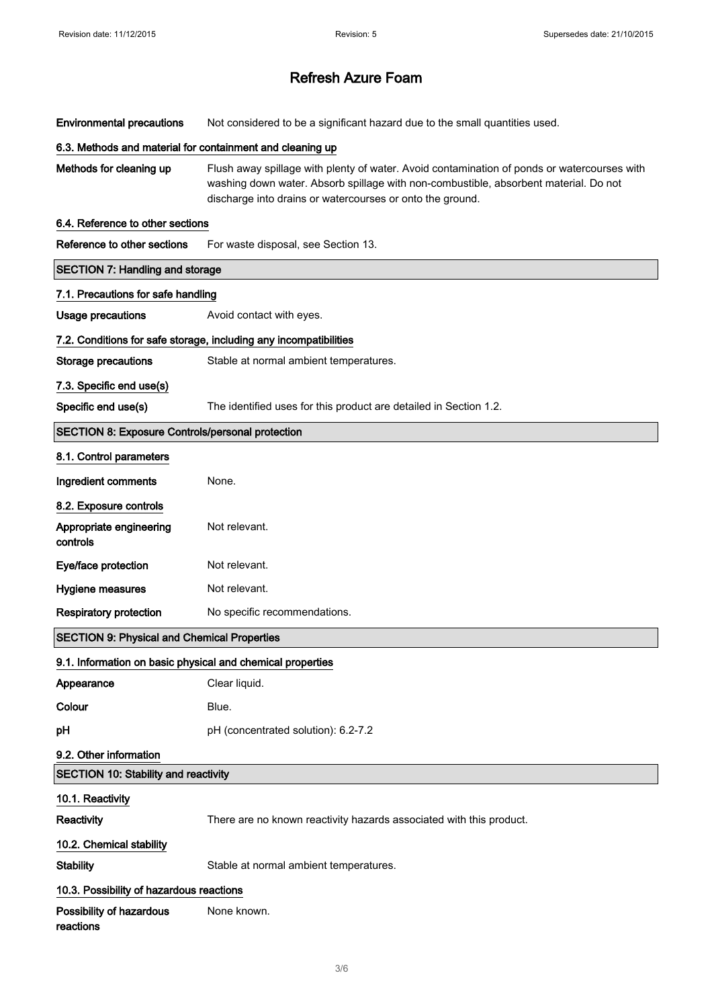Environmental precautions Not considered to be a significant hazard due to the small quantities used.

#### 6.3. Methods and material for containment and cleaning up

Methods for cleaning up Flush away spillage with plenty of water. Avoid contamination of ponds or watercourses with washing down water. Absorb spillage with non-combustible, absorbent material. Do not discharge into drains or watercourses or onto the ground.

#### 6.4. Reference to other sections

| Reference to other sections                                | For waste disposal, see Section 13.                                 |  |  |  |
|------------------------------------------------------------|---------------------------------------------------------------------|--|--|--|
| <b>SECTION 7: Handling and storage</b>                     |                                                                     |  |  |  |
| 7.1. Precautions for safe handling                         |                                                                     |  |  |  |
| <b>Usage precautions</b>                                   | Avoid contact with eyes.                                            |  |  |  |
|                                                            | 7.2. Conditions for safe storage, including any incompatibilities   |  |  |  |
| <b>Storage precautions</b>                                 | Stable at normal ambient temperatures.                              |  |  |  |
| 7.3. Specific end use(s)                                   |                                                                     |  |  |  |
| Specific end use(s)                                        | The identified uses for this product are detailed in Section 1.2.   |  |  |  |
| <b>SECTION 8: Exposure Controls/personal protection</b>    |                                                                     |  |  |  |
| 8.1. Control parameters                                    |                                                                     |  |  |  |
| Ingredient comments                                        | None.                                                               |  |  |  |
| 8.2. Exposure controls                                     |                                                                     |  |  |  |
| Appropriate engineering<br>controls                        | Not relevant.                                                       |  |  |  |
| Eye/face protection                                        | Not relevant.                                                       |  |  |  |
| Hygiene measures                                           | Not relevant.                                                       |  |  |  |
| <b>Respiratory protection</b>                              | No specific recommendations.                                        |  |  |  |
| <b>SECTION 9: Physical and Chemical Properties</b>         |                                                                     |  |  |  |
| 9.1. Information on basic physical and chemical properties |                                                                     |  |  |  |
| Appearance                                                 | Clear liquid.                                                       |  |  |  |
| Colour                                                     | Blue.                                                               |  |  |  |
| рH                                                         | pH (concentrated solution): 6.2-7.2                                 |  |  |  |
| 9.2. Other information                                     |                                                                     |  |  |  |
| <b>SECTION 10: Stability and reactivity</b>                |                                                                     |  |  |  |
| 10.1. Reactivity                                           |                                                                     |  |  |  |
| Reactivity                                                 | There are no known reactivity hazards associated with this product. |  |  |  |
| 10.2. Chemical stability                                   |                                                                     |  |  |  |
| <b>Stability</b>                                           | Stable at normal ambient temperatures.                              |  |  |  |
| 10.3. Possibility of hazardous reactions                   |                                                                     |  |  |  |
| Possibility of hazardous<br>reactions                      | None known.                                                         |  |  |  |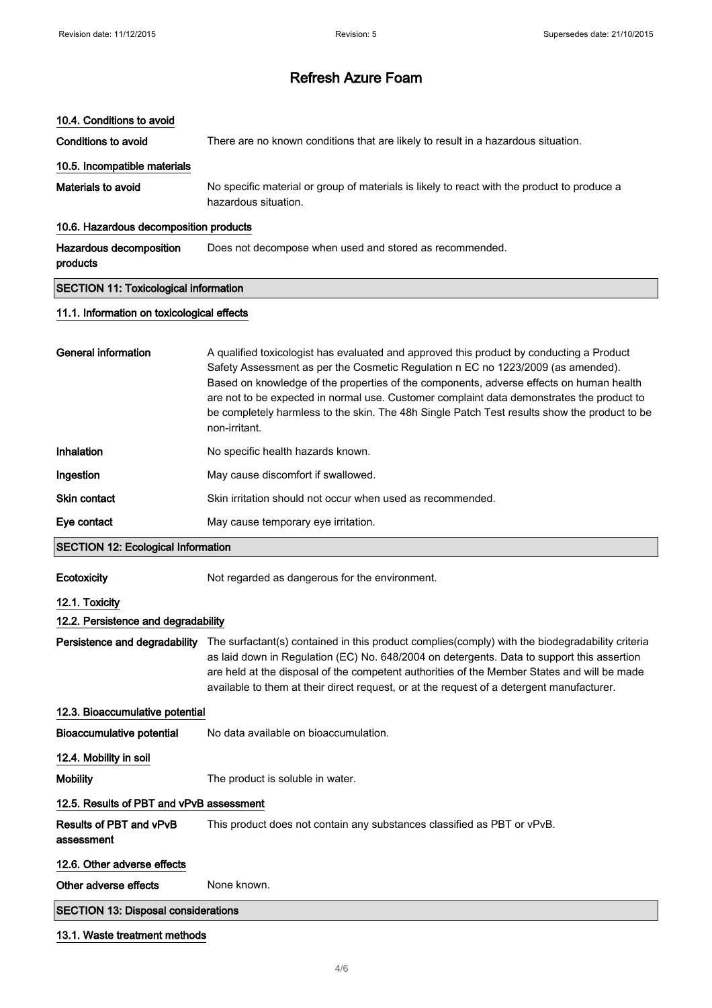#### 10.4. Conditions to avoid

Conditions to avoid There are no known conditions that are likely to result in a hazardous situation.

# 10.5. Incompatible materials

Materials to avoid No specific material or group of materials is likely to react with the product to produce a hazardous situation.

#### 10.6. Hazardous decomposition products

Hazardous decomposition products Does not decompose when used and stored as recommended.

## SECTION 11: Toxicological information

#### 11.1. Information on toxicological effects

| <b>General information</b>                | A qualified toxicologist has evaluated and approved this product by conducting a Product<br>Safety Assessment as per the Cosmetic Regulation n EC no 1223/2009 (as amended).<br>Based on knowledge of the properties of the components, adverse effects on human health<br>are not to be expected in normal use. Customer complaint data demonstrates the product to<br>be completely harmless to the skin. The 48h Single Patch Test results show the product to be<br>non-irritant. |  |
|-------------------------------------------|---------------------------------------------------------------------------------------------------------------------------------------------------------------------------------------------------------------------------------------------------------------------------------------------------------------------------------------------------------------------------------------------------------------------------------------------------------------------------------------|--|
| Inhalation                                | No specific health hazards known.                                                                                                                                                                                                                                                                                                                                                                                                                                                     |  |
| Ingestion                                 | May cause discomfort if swallowed.                                                                                                                                                                                                                                                                                                                                                                                                                                                    |  |
| <b>Skin contact</b>                       | Skin irritation should not occur when used as recommended.                                                                                                                                                                                                                                                                                                                                                                                                                            |  |
| Eye contact                               | May cause temporary eye irritation.                                                                                                                                                                                                                                                                                                                                                                                                                                                   |  |
| <b>SECTION 12: Ecological Information</b> |                                                                                                                                                                                                                                                                                                                                                                                                                                                                                       |  |
| Ecotoxicity                               | Not regarded as dangerous for the environment.                                                                                                                                                                                                                                                                                                                                                                                                                                        |  |
| 12.1. Toxicity                            |                                                                                                                                                                                                                                                                                                                                                                                                                                                                                       |  |
| 12.2. Persistence and degradability       |                                                                                                                                                                                                                                                                                                                                                                                                                                                                                       |  |
| Persistence and degradability             | The surfactant(s) contained in this product complies (comply) with the biodegradability criteria<br>as laid down in Regulation (EC) No. 648/2004 on detergents. Data to support this assertion<br>are held at the disposal of the competent authorities of the Member States and will be made<br>available to them at their direct request, or at the request of a detergent manufacturer.                                                                                            |  |
| 12.3. Bioaccumulative potential           |                                                                                                                                                                                                                                                                                                                                                                                                                                                                                       |  |
| Bioaccumulative potential                 | No data available on bioaccumulation.                                                                                                                                                                                                                                                                                                                                                                                                                                                 |  |
| 12.4. Mobility in soil                    |                                                                                                                                                                                                                                                                                                                                                                                                                                                                                       |  |

Mobility **Mobility** The product is soluble in water.

## 12.5. Results of PBT and vPvB assessment

Results of PBT and vPvB This product does not contain any substances classified as PBT or vPvB.

## assessment

# 12.6. Other adverse effects Other adverse effects None known.

## SECTION 13: Disposal considerations

#### 13.1. Waste treatment methods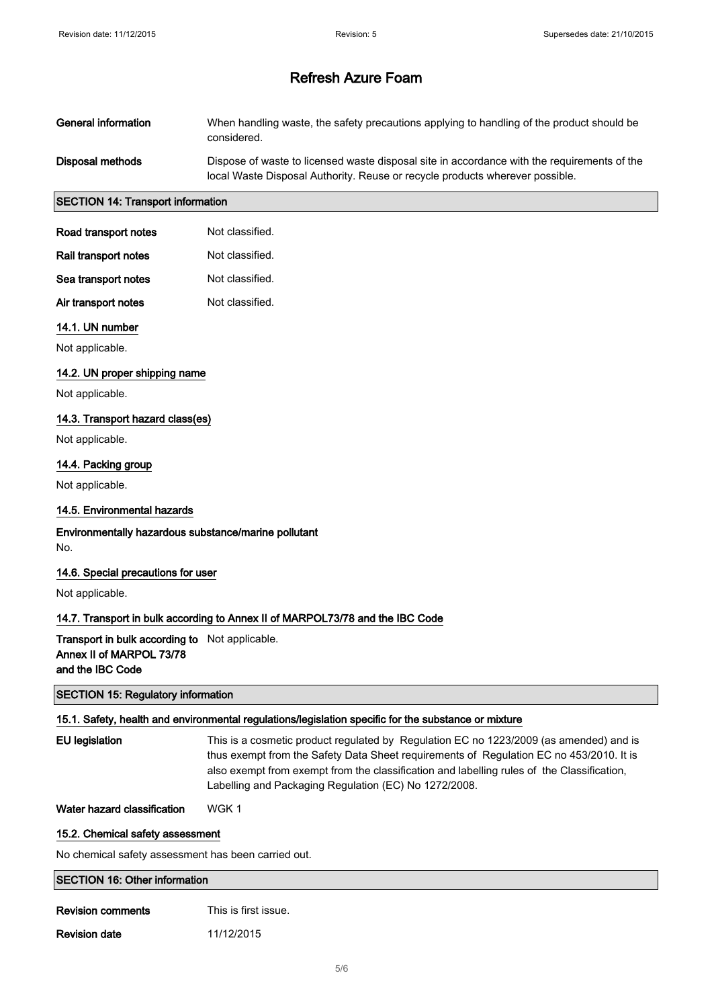| General information                                                                                  | When handling waste, the safety precautions applying to handling of the product should be<br>considered.                                                                    |  |  |
|------------------------------------------------------------------------------------------------------|-----------------------------------------------------------------------------------------------------------------------------------------------------------------------------|--|--|
| Disposal methods                                                                                     | Dispose of waste to licensed waste disposal site in accordance with the requirements of the<br>local Waste Disposal Authority. Reuse or recycle products wherever possible. |  |  |
| <b>SECTION 14: Transport information</b>                                                             |                                                                                                                                                                             |  |  |
| Road transport notes                                                                                 | Not classified.                                                                                                                                                             |  |  |
| Rail transport notes                                                                                 | Not classified.                                                                                                                                                             |  |  |
| Sea transport notes                                                                                  | Not classified.                                                                                                                                                             |  |  |
| Air transport notes                                                                                  | Not classified.                                                                                                                                                             |  |  |
| 14.1. UN number                                                                                      |                                                                                                                                                                             |  |  |
| Not applicable.                                                                                      |                                                                                                                                                                             |  |  |
| 14.2. UN proper shipping name                                                                        |                                                                                                                                                                             |  |  |
| Not applicable.                                                                                      |                                                                                                                                                                             |  |  |
| 14.3. Transport hazard class(es)                                                                     |                                                                                                                                                                             |  |  |
| Not applicable.                                                                                      |                                                                                                                                                                             |  |  |
| 14.4. Packing group                                                                                  |                                                                                                                                                                             |  |  |
| Not applicable.                                                                                      |                                                                                                                                                                             |  |  |
| 14.5. Environmental hazards                                                                          |                                                                                                                                                                             |  |  |
| No.                                                                                                  | Environmentally hazardous substance/marine pollutant                                                                                                                        |  |  |
| 14.6. Special precautions for user                                                                   |                                                                                                                                                                             |  |  |
| Not applicable.                                                                                      |                                                                                                                                                                             |  |  |
|                                                                                                      | 14.7. Transport in bulk according to Annex II of MARPOL73/78 and the IBC Code                                                                                               |  |  |
| Transport in bulk according to Not applicable.<br>Annex II of MARPOL 73/78<br>and the IBC Code       |                                                                                                                                                                             |  |  |
| <b>SECTION 15: Regulatory information</b>                                                            |                                                                                                                                                                             |  |  |
| 15.1. Safety, health and environmental regulations/legislation specific for the substance or mixture |                                                                                                                                                                             |  |  |

| EU legislation | This is a cosmetic product regulated by Regulation EC no 1223/2009 (as amended) and is<br>thus exempt from the Safety Data Sheet requirements of Requiation EC no 453/2010. It is<br>also exempt from exempt from the classification and labelling rules of the Classification.<br>Labelling and Packaging Regulation (EC) No 1272/2008. |
|----------------|------------------------------------------------------------------------------------------------------------------------------------------------------------------------------------------------------------------------------------------------------------------------------------------------------------------------------------------|
|                |                                                                                                                                                                                                                                                                                                                                          |

Water hazard classification WGK 1

# 15.2. Chemical safety assessment

No chemical safety assessment has been carried out.

SECTION 16: Other information

| <b>Revision comments</b> | This is first issue. |
|--------------------------|----------------------|
|                          |                      |

**Revision date** 11/12/2015